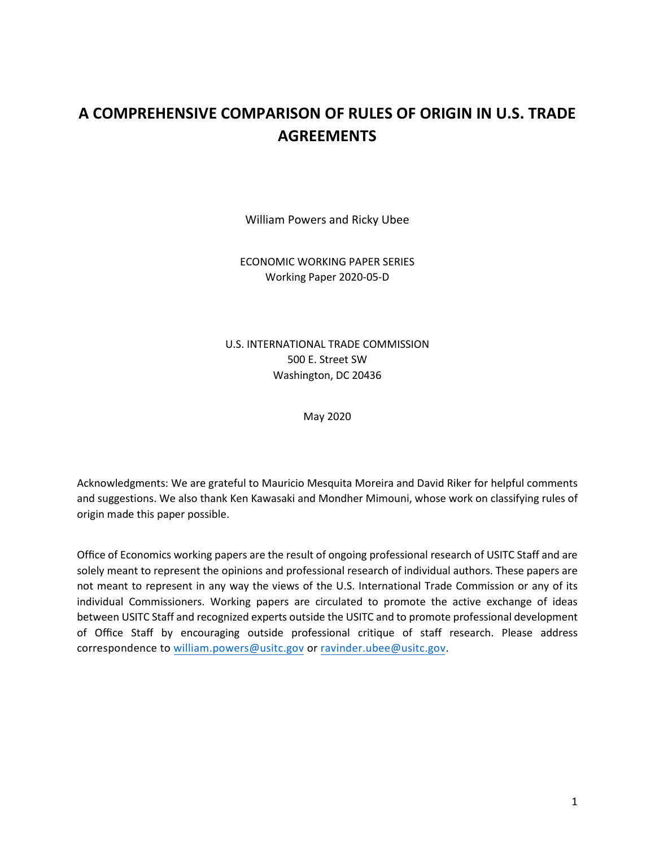# **A COMPREHENSIVE COMPARISON OF RULES OF ORIGIN IN U.S. TRADE AGREEMENTS**

William Powers and Ricky Ubee

ECONOMIC WORKING PAPER SERIES Working Paper 2020-05-D

U.S. INTERNATIONAL TRADE COMMISSION 500 E. Street SW Washington, DC 20436

May 2020

Acknowledgments: We are grateful to Mauricio Mesquita Moreira and David Riker for helpful comments and suggestions. We also thank Ken Kawasaki and Mondher Mimouni, whose work on classifying rules of origin made this paper possible.

Office of Economics working papers are the result of ongoing professional research of USITC Staff and are solely meant to represent the opinions and professional research of individual authors. These papers are not meant to represent in any way the views of the U.S. International Trade Commission or any of its individual Commissioners. Working papers are circulated to promote the active exchange of ideas between USITC Staff and recognized experts outside the USITC and to promote professional development of Office Staff by encouraging outside professional critique of staff research. Please address correspondence to [william.powers@usitc.gov](mailto:william.powers@usitc.gov) or [ravinder.ubee@usitc.gov.](mailto:ravinder.ubee@usitc.gov)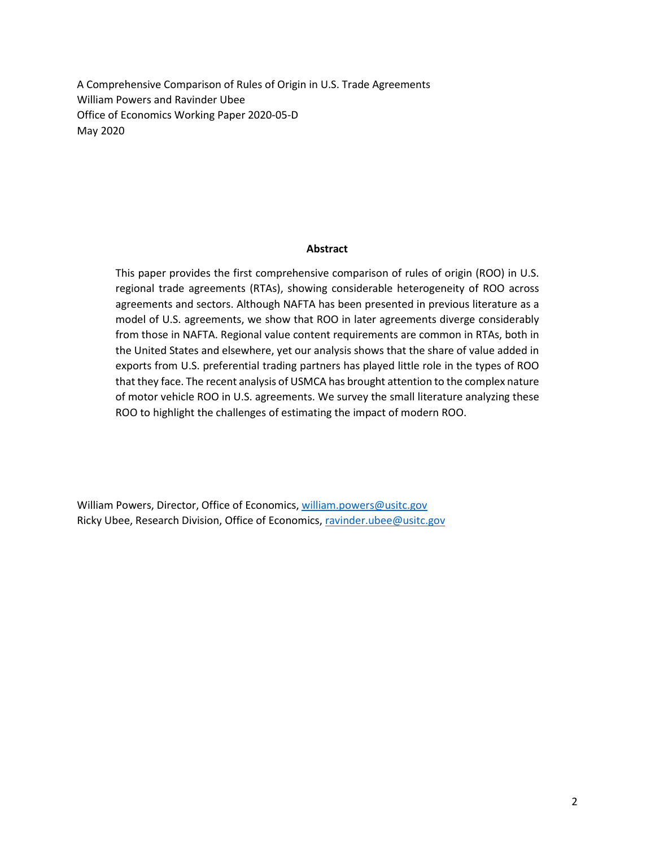A Comprehensive Comparison of Rules of Origin in U.S. Trade Agreements William Powers and Ravinder Ubee Office of Economics Working Paper 2020-05-D May 2020

#### **Abstract**

This paper provides the first comprehensive comparison of rules of origin (ROO) in U.S. regional trade agreements (RTAs), showing considerable heterogeneity of ROO across agreements and sectors. Although NAFTA has been presented in previous literature as a model of U.S. agreements, we show that ROO in later agreements diverge considerably from those in NAFTA. Regional value content requirements are common in RTAs, both in the United States and elsewhere, yet our analysis shows that the share of value added in exports from U.S. preferential trading partners has played little role in the types of ROO that they face. The recent analysis of USMCA has brought attention to the complex nature of motor vehicle ROO in U.S. agreements. We survey the small literature analyzing these ROO to highlight the challenges of estimating the impact of modern ROO.

William Powers, Director, Office of Economics, [william.powers@usitc.gov](mailto:william.powers@usitc.gov)  Ricky Ubee, Research Division, Office of Economics, [ravinder.ubee@usitc.gov](mailto:ravinder.ubee@usitc.gov)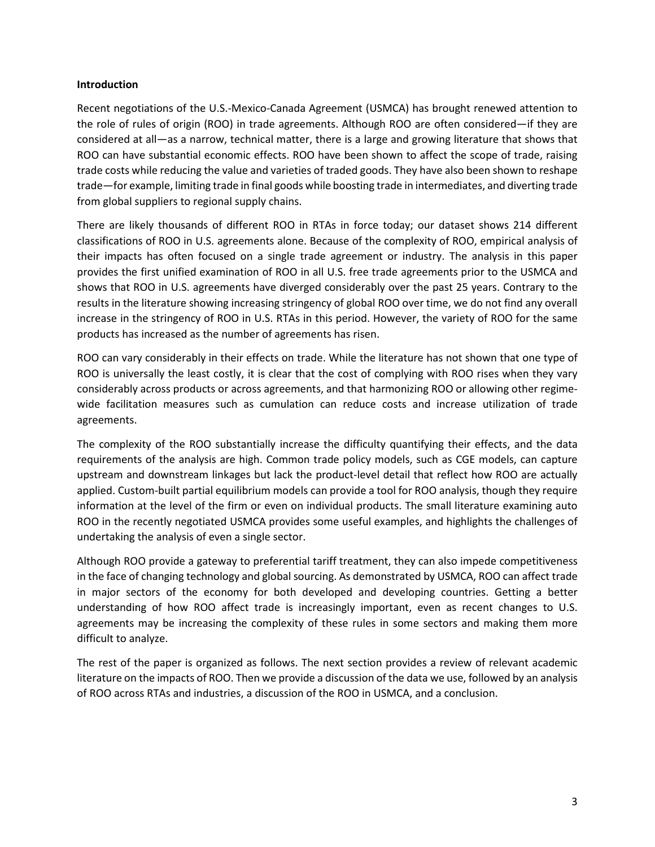## **Introduction**

Recent negotiations of the U.S.-Mexico-Canada Agreement (USMCA) has brought renewed attention to the role of rules of origin (ROO) in trade agreements. Although ROO are often considered—if they are considered at all—as a narrow, technical matter, there is a large and growing literature that shows that ROO can have substantial economic effects. ROO have been shown to affect the scope of trade, raising trade costs while reducing the value and varieties of traded goods. They have also been shown to reshape trade—for example, limiting trade in final goods while boosting trade in intermediates, and diverting trade from global suppliers to regional supply chains.

There are likely thousands of different ROO in RTAs in force today; our dataset shows 214 different classifications of ROO in U.S. agreements alone. Because of the complexity of ROO, empirical analysis of their impacts has often focused on a single trade agreement or industry. The analysis in this paper provides the first unified examination of ROO in all U.S. free trade agreements prior to the USMCA and shows that ROO in U.S. agreements have diverged considerably over the past 25 years. Contrary to the results in the literature showing increasing stringency of global ROO over time, we do not find any overall increase in the stringency of ROO in U.S. RTAs in this period. However, the variety of ROO for the same products has increased as the number of agreements has risen.

ROO can vary considerably in their effects on trade. While the literature has not shown that one type of ROO is universally the least costly, it is clear that the cost of complying with ROO rises when they vary considerably across products or across agreements, and that harmonizing ROO or allowing other regimewide facilitation measures such as cumulation can reduce costs and increase utilization of trade agreements.

The complexity of the ROO substantially increase the difficulty quantifying their effects, and the data requirements of the analysis are high. Common trade policy models, such as CGE models, can capture upstream and downstream linkages but lack the product-level detail that reflect how ROO are actually applied. Custom-built partial equilibrium models can provide a tool for ROO analysis, though they require information at the level of the firm or even on individual products. The small literature examining auto ROO in the recently negotiated USMCA provides some useful examples, and highlights the challenges of undertaking the analysis of even a single sector.

Although ROO provide a gateway to preferential tariff treatment, they can also impede competitiveness in the face of changing technology and global sourcing. As demonstrated by USMCA, ROO can affect trade in major sectors of the economy for both developed and developing countries. Getting a better understanding of how ROO affect trade is increasingly important, even as recent changes to U.S. agreements may be increasing the complexity of these rules in some sectors and making them more difficult to analyze.

The rest of the paper is organized as follows. The next section provides a review of relevant academic literature on the impacts of ROO. Then we provide a discussion of the data we use, followed by an analysis of ROO across RTAs and industries, a discussion of the ROO in USMCA, and a conclusion.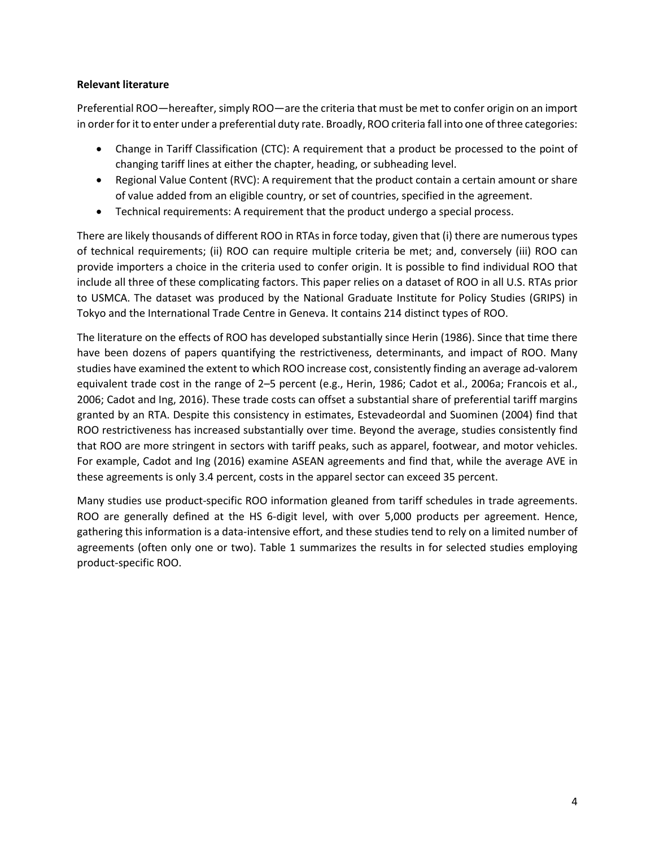# **Relevant literature**

Preferential ROO—hereafter, simply ROO—are the criteria that must be met to confer origin on an import in order for it to enter under a preferential duty rate. Broadly, ROO criteria fall into one of three categories:

- Change in Tariff Classification (CTC): A requirement that a product be processed to the point of changing tariff lines at either the chapter, heading, or subheading level.
- Regional Value Content (RVC): A requirement that the product contain a certain amount or share of value added from an eligible country, or set of countries, specified in the agreement.
- Technical requirements: A requirement that the product undergo a special process.

There are likely thousands of different ROO in RTAs in force today, given that (i) there are numerous types of technical requirements; (ii) ROO can require multiple criteria be met; and, conversely (iii) ROO can provide importers a choice in the criteria used to confer origin. It is possible to find individual ROO that include all three of these complicating factors. This paper relies on a dataset of ROO in all U.S. RTAs prior to USMCA. The dataset was produced by the National Graduate Institute for Policy Studies (GRIPS) in Tokyo and the International Trade Centre in Geneva. It contains 214 distinct types of ROO.

The literature on the effects of ROO has developed substantially since Herin (1986). Since that time there have been dozens of papers quantifying the restrictiveness, determinants, and impact of ROO. Many studies have examined the extent to which ROO increase cost, consistently finding an average ad-valorem equivalent trade cost in the range of 2–5 percent (e.g., Herin, 1986; Cadot et al., 2006a; Francois et al., 2006; Cadot and Ing, 2016). These trade costs can offset a substantial share of preferential tariff margins granted by an RTA. Despite this consistency in estimates, Estevadeordal and Suominen (2004) find that ROO restrictiveness has increased substantially over time. Beyond the average, studies consistently find that ROO are more stringent in sectors with tariff peaks, such as apparel, footwear, and motor vehicles. For example, Cadot and Ing (2016) examine ASEAN agreements and find that, while the average AVE in these agreements is only 3.4 percent, costs in the apparel sector can exceed 35 percent.

Many studies use product-specific ROO information gleaned from tariff schedules in trade agreements. ROO are generally defined at the HS 6-digit level, with over 5,000 products per agreement. Hence, gathering this information is a data-intensive effort, and these studies tend to rely on a limited number of agreements (often only one or two). Table 1 summarizes the results in for selected studies employing product-specific ROO.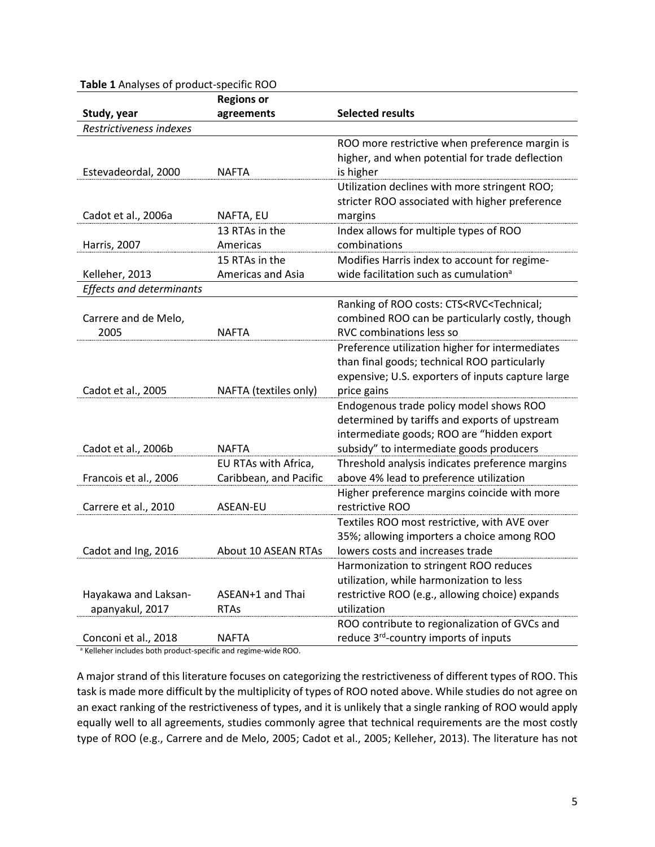|                                 | <b>Regions or</b>      |                                                                     |
|---------------------------------|------------------------|---------------------------------------------------------------------|
| Study, year                     | agreements             | <b>Selected results</b>                                             |
| Restrictiveness indexes         |                        |                                                                     |
|                                 |                        | ROO more restrictive when preference margin is                      |
|                                 |                        | higher, and when potential for trade deflection                     |
| Estevadeordal, 2000             | <b>NAFTA</b>           | is higher                                                           |
|                                 |                        | Utilization declines with more stringent ROO;                       |
|                                 |                        | stricter ROO associated with higher preference                      |
| Cadot et al., 2006a             | NAFTA, EU              | margins                                                             |
|                                 | 13 RTAs in the         | Index allows for multiple types of ROO                              |
| <b>Harris, 2007</b>             | Americas               | combinations                                                        |
|                                 | 15 RTAs in the         | Modifies Harris index to account for regime-                        |
| Kelleher, 2013                  | Americas and Asia      | wide facilitation such as cumulation <sup>a</sup>                   |
| <b>Effects and determinants</b> |                        |                                                                     |
|                                 |                        | Ranking of ROO costs: CTS <rvc<technical;< td=""></rvc<technical;<> |
| Carrere and de Melo,            |                        | combined ROO can be particularly costly, though                     |
| 2005                            | <b>NAFTA</b>           | RVC combinations less so                                            |
|                                 |                        | Preference utilization higher for intermediates                     |
|                                 |                        | than final goods; technical ROO particularly                        |
|                                 |                        | expensive; U.S. exporters of inputs capture large                   |
| Cadot et al., 2005              | NAFTA (textiles only)  | price gains                                                         |
|                                 |                        | Endogenous trade policy model shows ROO                             |
|                                 |                        | determined by tariffs and exports of upstream                       |
|                                 |                        | intermediate goods; ROO are "hidden export                          |
| Cadot et al., 2006b             | <b>NAFTA</b>           | subsidy" to intermediate goods producers                            |
|                                 | EU RTAs with Africa,   | Threshold analysis indicates preference margins                     |
| Francois et al., 2006           | Caribbean, and Pacific | above 4% lead to preference utilization                             |
|                                 |                        | Higher preference margins coincide with more                        |
| Carrere et al., 2010            | ASEAN-EU               | restrictive ROO                                                     |
|                                 |                        | Textiles ROO most restrictive, with AVE over                        |
|                                 |                        | 35%; allowing importers a choice among ROO                          |
| Cadot and Ing, 2016             | About 10 ASEAN RTAs    | lowers costs and increases trade                                    |
|                                 |                        | Harmonization to stringent ROO reduces                              |
|                                 |                        | utilization, while harmonization to less                            |
| Hayakawa and Laksan-            | ASEAN+1 and Thai       | restrictive ROO (e.g., allowing choice) expands                     |
| apanyakul, 2017                 | <b>RTAs</b>            | utilization                                                         |
|                                 |                        | ROO contribute to regionalization of GVCs and                       |
| Conconi et al., 2018            | NAFTA                  | reduce 3 <sup>rd</sup> -country imports of inputs                   |

# **Table 1** Analyses of product-specific ROO

<sup>a</sup> Kelleher includes both product-specific and regime-wide ROO.

A major strand of this literature focuses on categorizing the restrictiveness of different types of ROO. This task is made more difficult by the multiplicity of types of ROO noted above. While studies do not agree on an exact ranking of the restrictiveness of types, and it is unlikely that a single ranking of ROO would apply equally well to all agreements, studies commonly agree that technical requirements are the most costly type of ROO (e.g., Carrere and de Melo, 2005; Cadot et al., 2005; Kelleher, 2013). The literature has not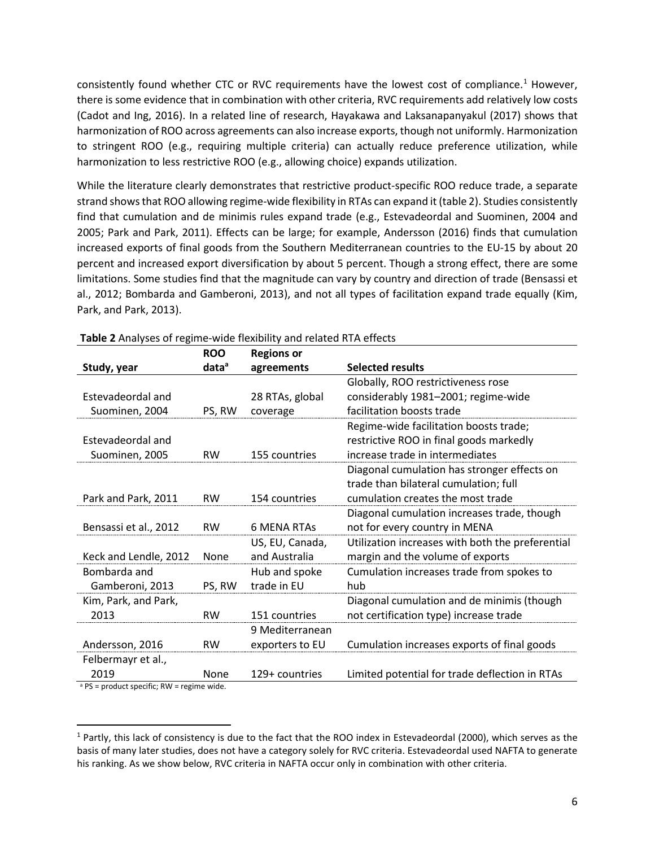consistently found whether CTC or RVC requirements have the lowest cost of compliance.<sup>[1](#page-5-0)</sup> However, there is some evidence that in combination with other criteria, RVC requirements add relatively low costs (Cadot and Ing, 2016). In a related line of research, Hayakawa and Laksanapanyakul (2017) shows that harmonization of ROO across agreements can also increase exports, though not uniformly. Harmonization to stringent ROO (e.g., requiring multiple criteria) can actually reduce preference utilization, while harmonization to less restrictive ROO (e.g., allowing choice) expands utilization.

While the literature clearly demonstrates that restrictive product-specific ROO reduce trade, a separate strand shows that ROO allowing regime-wide flexibility in RTAs can expand it (table 2). Studies consistently find that cumulation and de minimis rules expand trade (e.g., Estevadeordal and Suominen, 2004 and 2005; Park and Park, 2011). Effects can be large; for example, Andersson (2016) finds that cumulation increased exports of final goods from the Southern Mediterranean countries to the EU-15 by about 20 percent and increased export diversification by about 5 percent. Though a strong effect, there are some limitations. Some studies find that the magnitude can vary by country and direction of trade (Bensassi et al., 2012; Bombarda and Gamberoni, 2013), and not all types of facilitation expand trade equally (Kim, Park, and Park, 2013).

|                                                       | <b>ROO</b>        | <b>Regions or</b>  |                                                  |
|-------------------------------------------------------|-------------------|--------------------|--------------------------------------------------|
| Study, year                                           | data <sup>a</sup> | agreements         | <b>Selected results</b>                          |
|                                                       |                   |                    | Globally, ROO restrictiveness rose               |
| Estevadeordal and                                     |                   | 28 RTAs, global    | considerably 1981-2001; regime-wide              |
| Suominen, 2004                                        | PS, RW            | coverage           | facilitation boosts trade                        |
|                                                       |                   |                    | Regime-wide facilitation boosts trade;           |
| Estevadeordal and                                     |                   |                    | restrictive ROO in final goods markedly          |
| Suominen, 2005                                        | <b>RW</b>         | 155 countries      | increase trade in intermediates                  |
|                                                       |                   |                    | Diagonal cumulation has stronger effects on      |
|                                                       |                   |                    | trade than bilateral cumulation; full            |
| Park and Park, 2011                                   | <b>RW</b>         | 154 countries      | cumulation creates the most trade                |
|                                                       |                   |                    | Diagonal cumulation increases trade, though      |
| Bensassi et al., 2012                                 | <b>RW</b>         | <b>6 MENA RTAS</b> | not for every country in MENA                    |
|                                                       |                   | US, EU, Canada,    | Utilization increases with both the preferential |
| Keck and Lendle, 2012                                 | None              | and Australia      | margin and the volume of exports                 |
| Bombarda and                                          |                   | Hub and spoke      | Cumulation increases trade from spokes to        |
| Gamberoni, 2013                                       | PS, RW            | trade in EU        | hub                                              |
| Kim, Park, and Park,                                  |                   |                    | Diagonal cumulation and de minimis (though       |
| 2013                                                  | <b>RW</b>         | 151 countries      | not certification type) increase trade           |
|                                                       |                   | 9 Mediterranean    |                                                  |
| Andersson, 2016                                       | <b>RW</b>         | exporters to EU    | Cumulation increases exports of final goods      |
| Felbermayr et al.,                                    |                   |                    |                                                  |
| 2019                                                  | None              | 129+ countries     | Limited potential for trade deflection in RTAs   |
| $^3$ DC = product specific: $P_{\rm M}$ = regime wide |                   |                    |                                                  |

PS = product specific; RW = regime wide.

<span id="page-5-0"></span> $1$  Partly, this lack of consistency is due to the fact that the ROO index in Estevadeordal (2000), which serves as the basis of many later studies, does not have a category solely for RVC criteria. Estevadeordal used NAFTA to generate his ranking. As we show below, RVC criteria in NAFTA occur only in combination with other criteria.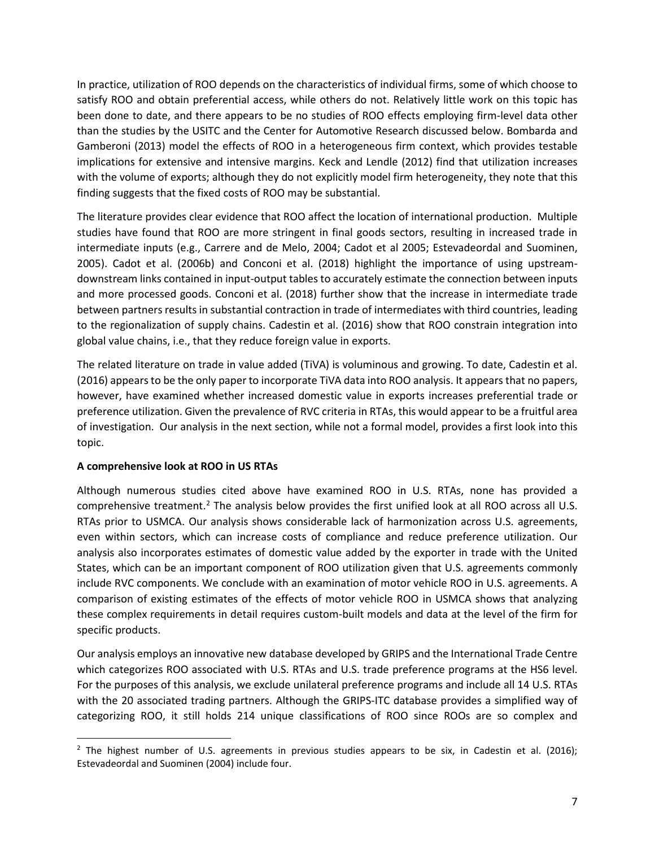In practice, utilization of ROO depends on the characteristics of individual firms, some of which choose to satisfy ROO and obtain preferential access, while others do not. Relatively little work on this topic has been done to date, and there appears to be no studies of ROO effects employing firm-level data other than the studies by the USITC and the Center for Automotive Research discussed below. Bombarda and Gamberoni (2013) model the effects of ROO in a heterogeneous firm context, which provides testable implications for extensive and intensive margins. Keck and Lendle (2012) find that utilization increases with the volume of exports; although they do not explicitly model firm heterogeneity, they note that this finding suggests that the fixed costs of ROO may be substantial.

The literature provides clear evidence that ROO affect the location of international production. Multiple studies have found that ROO are more stringent in final goods sectors, resulting in increased trade in intermediate inputs (e.g., Carrere and de Melo, 2004; Cadot et al 2005; Estevadeordal and Suominen, 2005). Cadot et al. (2006b) and Conconi et al. (2018) highlight the importance of using upstreamdownstream links contained in input-output tables to accurately estimate the connection between inputs and more processed goods. Conconi et al. (2018) further show that the increase in intermediate trade between partners results in substantial contraction in trade of intermediates with third countries, leading to the regionalization of supply chains. Cadestin et al. (2016) show that ROO constrain integration into global value chains, i.e., that they reduce foreign value in exports.

The related literature on trade in value added (TiVA) is voluminous and growing. To date, Cadestin et al. (2016) appears to be the only paper to incorporate TiVA data into ROO analysis. It appears that no papers, however, have examined whether increased domestic value in exports increases preferential trade or preference utilization. Given the prevalence of RVC criteria in RTAs, this would appear to be a fruitful area of investigation. Our analysis in the next section, while not a formal model, provides a first look into this topic.

## **A comprehensive look at ROO in US RTAs**

Although numerous studies cited above have examined ROO in U.S. RTAs, none has provided a comprehensive treatment.<sup>[2](#page-6-0)</sup> The analysis below provides the first unified look at all ROO across all U.S. RTAs prior to USMCA. Our analysis shows considerable lack of harmonization across U.S. agreements, even within sectors, which can increase costs of compliance and reduce preference utilization. Our analysis also incorporates estimates of domestic value added by the exporter in trade with the United States, which can be an important component of ROO utilization given that U.S. agreements commonly include RVC components. We conclude with an examination of motor vehicle ROO in U.S. agreements. A comparison of existing estimates of the effects of motor vehicle ROO in USMCA shows that analyzing these complex requirements in detail requires custom-built models and data at the level of the firm for specific products.

Our analysis employs an innovative new database developed by GRIPS and the International Trade Centre which categorizes ROO associated with U.S. RTAs and U.S. trade preference programs at the HS6 level. For the purposes of this analysis, we exclude unilateral preference programs and include all 14 U.S. RTAs with the 20 associated trading partners. Although the GRIPS-ITC database provides a simplified way of categorizing ROO, it still holds 214 unique classifications of ROO since ROOs are so complex and

<span id="page-6-0"></span><sup>&</sup>lt;sup>2</sup> The highest number of U.S. agreements in previous studies appears to be six, in Cadestin et al. (2016); Estevadeordal and Suominen (2004) include four.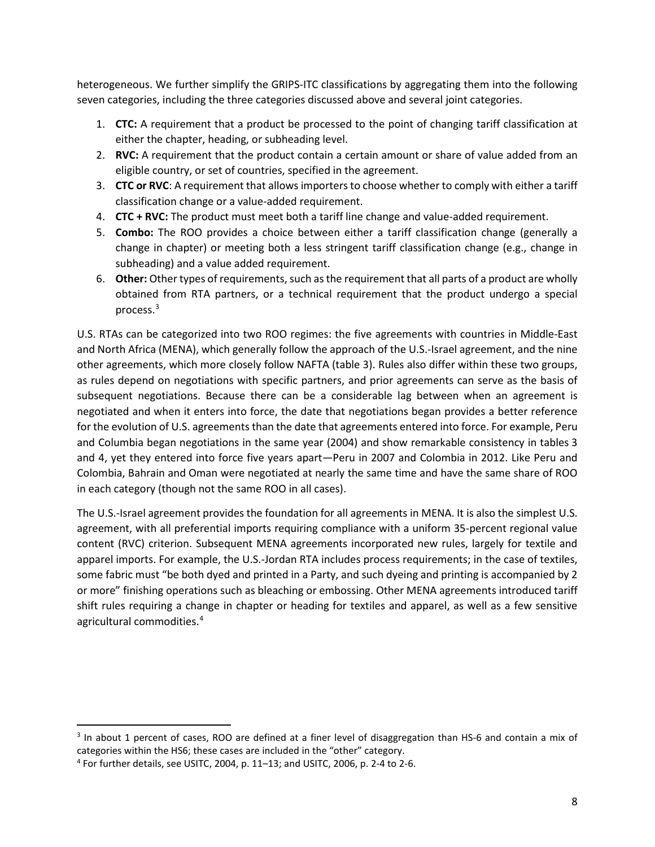heterogeneous. We further simplify the GRIPS-ITC classifications by aggregating them into the following seven categories, including the three categories discussed above and several joint categories.

- 1. **CTC:** A requirement that a product be processed to the point of changing tariff classification at either the chapter, heading, or subheading level.
- 2. **RVC:** A requirement that the product contain a certain amount or share of value added from an eligible country, or set of countries, specified in the agreement.
- 3. **CTC or RVC**: A requirement that allows importers to choose whether to comply with either a tariff classification change or a value-added requirement.
- 4. **CTC + RVC:** The product must meet both a tariff line change and value-added requirement.
- 5. **Combo:** The ROO provides a choice between either a tariff classification change (generally a change in chapter) or meeting both a less stringent tariff classification change (e.g., change in subheading) and a value added requirement.
- 6. **Other:** Other types of requirements, such as the requirement that all parts of a product are wholly obtained from RTA partners, or a technical requirement that the product undergo a special process. [3](#page-7-0)

U.S. RTAs can be categorized into two ROO regimes: the five agreements with countries in Middle-East and North Africa (MENA), which generally follow the approach of the U.S.-Israel agreement, and the nine other agreements, which more closely follow NAFTA (table 3). Rules also differ within these two groups, as rules depend on negotiations with specific partners, and prior agreements can serve as the basis of subsequent negotiations. Because there can be a considerable lag between when an agreement is negotiated and when it enters into force, the date that negotiations began provides a better reference for the evolution of U.S. agreements than the date that agreements entered into force. For example, Peru and Columbia began negotiations in the same year (2004) and show remarkable consistency in tables 3 and 4, yet they entered into force five years apart—Peru in 2007 and Colombia in 2012. Like Peru and Colombia, Bahrain and Oman were negotiated at nearly the same time and have the same share of ROO in each category (though not the same ROO in all cases).

The U.S.-Israel agreement provides the foundation for all agreements in MENA. It is also the simplest U.S. agreement, with all preferential imports requiring compliance with a uniform 35-percent regional value content (RVC) criterion. Subsequent MENA agreements incorporated new rules, largely for textile and apparel imports. For example, the U.S.-Jordan RTA includes process requirements; in the case of textiles, some fabric must "be both dyed and printed in a Party, and such dyeing and printing is accompanied by 2 or more" finishing operations such as bleaching or embossing. Other MENA agreements introduced tariff shift rules requiring a change in chapter or heading for textiles and apparel, as well as a few sensitive agricultural commodities.<sup>[4](#page-7-1)</sup>

<span id="page-7-0"></span><sup>3</sup> In about 1 percent of cases, ROO are defined at a finer level of disaggregation than HS-6 and contain a mix of categories within the HS6; these cases are included in the "other" category.

<span id="page-7-1"></span><sup>4</sup> For further details, see USITC, 2004, p. 11–13; and USITC, 2006, p. 2-4 to 2-6.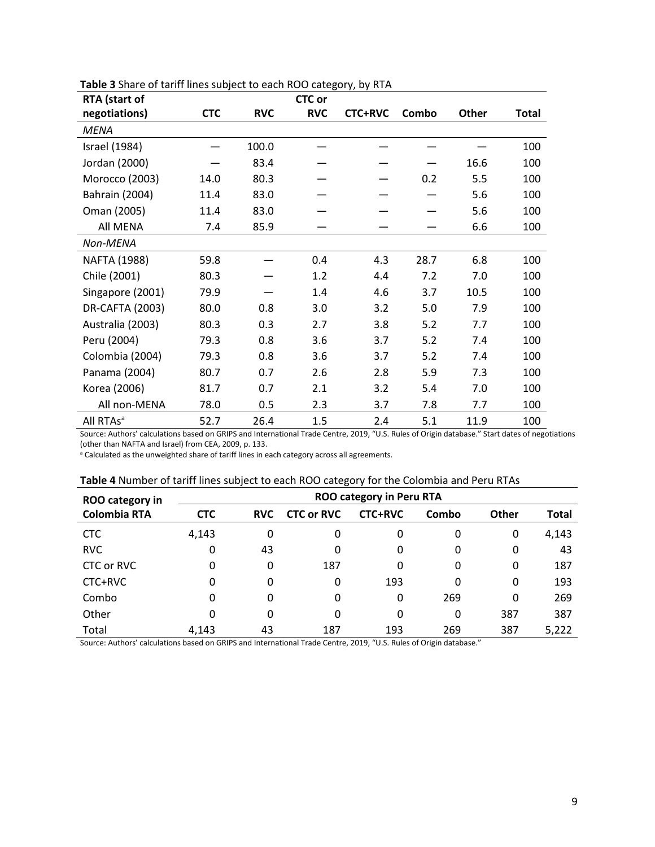| RTA (start of         |            |            | <b>CTC</b> or |                |       |              |       |
|-----------------------|------------|------------|---------------|----------------|-------|--------------|-------|
| negotiations)         | <b>CTC</b> | <b>RVC</b> | <b>RVC</b>    | <b>CTC+RVC</b> | Combo | <b>Other</b> | Total |
| <b>MENA</b>           |            |            |               |                |       |              |       |
| <b>Israel</b> (1984)  |            | 100.0      |               |                |       |              | 100   |
| Jordan (2000)         |            | 83.4       |               |                |       | 16.6         | 100   |
| Morocco (2003)        | 14.0       | 80.3       |               |                | 0.2   | 5.5          | 100   |
| <b>Bahrain (2004)</b> | 11.4       | 83.0       |               |                |       | 5.6          | 100   |
| Oman (2005)           | 11.4       | 83.0       |               |                |       | 5.6          | 100   |
| All MENA              | 7.4        | 85.9       |               |                |       | 6.6          | 100   |
| Non-MENA              |            |            |               |                |       |              |       |
| NAFTA (1988)          | 59.8       |            | 0.4           | 4.3            | 28.7  | 6.8          | 100   |
| Chile (2001)          | 80.3       |            | 1.2           | 4.4            | 7.2   | 7.0          | 100   |
| Singapore (2001)      | 79.9       |            | 1.4           | 4.6            | 3.7   | 10.5         | 100   |
| DR-CAFTA (2003)       | 80.0       | 0.8        | 3.0           | 3.2            | 5.0   | 7.9          | 100   |
| Australia (2003)      | 80.3       | 0.3        | 2.7           | 3.8            | 5.2   | 7.7          | 100   |
| Peru (2004)           | 79.3       | 0.8        | 3.6           | 3.7            | 5.2   | 7.4          | 100   |
| Colombia (2004)       | 79.3       | 0.8        | 3.6           | 3.7            | 5.2   | 7.4          | 100   |
| Panama (2004)         | 80.7       | 0.7        | 2.6           | 2.8            | 5.9   | 7.3          | 100   |
| Korea (2006)          | 81.7       | 0.7        | 2.1           | 3.2            | 5.4   | 7.0          | 100   |
| All non-MENA          | 78.0       | 0.5        | 2.3           | 3.7            | 7.8   | 7.7          | 100   |
| All RTAs <sup>a</sup> | 52.7       | 26.4       | 1.5           | 2.4            | 5.1   | 11.9         | 100   |

| Table 3 Share of tariff lines subject to each ROO category, by RTA |  |
|--------------------------------------------------------------------|--|
|                                                                    |  |

Source: Authors' calculations based on GRIPS and International Trade Centre, 2019, "U.S. Rules of Origin database." Start dates of negotiations (other than NAFTA and Israel) from CEA, 2009, p. 133.

a Calculated as the unweighted share of tariff lines in each category across all agreements.

## **Table 4** Number of tariff lines subject to each ROO category for the Colombia and Peru RTAs

| <b>ROO category in</b> | <b>ROO category in Peru RTA</b> |            |                   |                |       |              |              |  |  |  |
|------------------------|---------------------------------|------------|-------------------|----------------|-------|--------------|--------------|--|--|--|
| <b>Colombia RTA</b>    | <b>CTC</b>                      | <b>RVC</b> | <b>CTC or RVC</b> | <b>CTC+RVC</b> | Combo | <b>Other</b> | <b>Total</b> |  |  |  |
| <b>CTC</b>             | 4,143                           | 0          | 0                 | 0              | 0     | 0            | 4,143        |  |  |  |
| <b>RVC</b>             | 0                               | 43         | 0                 | 0              | 0     | 0            | 43           |  |  |  |
| CTC or RVC             | 0                               | 0          | 187               | 0              | 0     | 0            | 187          |  |  |  |
| CTC+RVC                | 0                               | 0          | 0                 | 193            | 0     | 0            | 193          |  |  |  |
| Combo                  | 0                               | 0          | 0                 | 0              | 269   | 0            | 269          |  |  |  |
| Other                  | 0                               | 0          | 0                 | 0              | 0     | 387          | 387          |  |  |  |
| Total                  | 4.143                           | 43         | 187               | 193            | 269   | 387          | 5,222        |  |  |  |

Source: Authors' calculations based on GRIPS and International Trade Centre, 2019, "U.S. Rules of Origin database."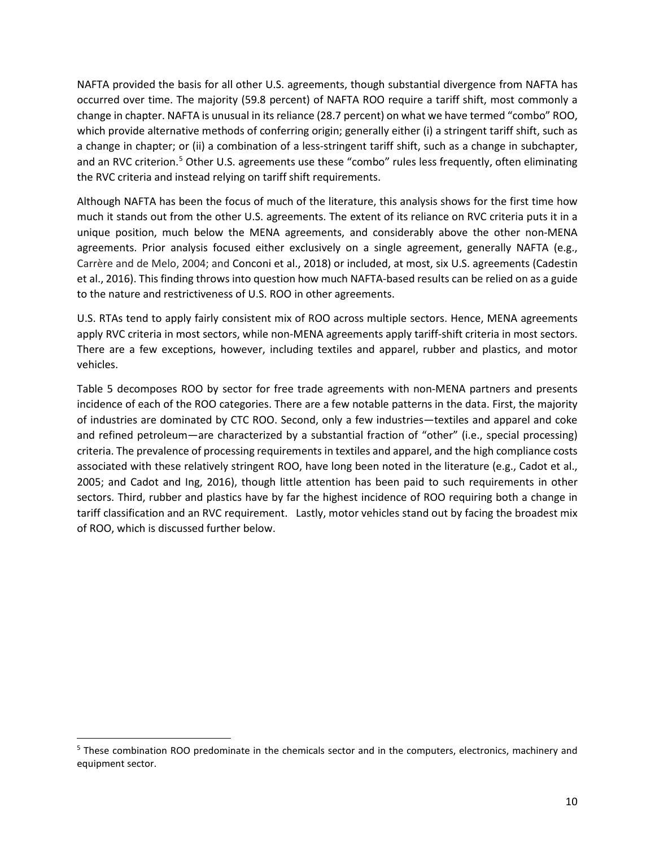NAFTA provided the basis for all other U.S. agreements, though substantial divergence from NAFTA has occurred over time. The majority (59.8 percent) of NAFTA ROO require a tariff shift, most commonly a change in chapter. NAFTA is unusual in its reliance (28.7 percent) on what we have termed "combo" ROO, which provide alternative methods of conferring origin; generally either (i) a stringent tariff shift, such as a change in chapter; or (ii) a combination of a less-stringent tariff shift, such as a change in subchapter, and an RVC criterion.<sup>5</sup> Other U.S. agreements use these "combo" rules less frequently, often eliminating the RVC criteria and instead relying on tariff shift requirements.

Although NAFTA has been the focus of much of the literature, this analysis shows for the first time how much it stands out from the other U.S. agreements. The extent of its reliance on RVC criteria puts it in a unique position, much below the MENA agreements, and considerably above the other non-MENA agreements. Prior analysis focused either exclusively on a single agreement, generally NAFTA (e.g., Carrère and de Melo, 2004; and Conconi et al., 2018) or included, at most, six U.S. agreements (Cadestin et al., 2016). This finding throws into question how much NAFTA-based results can be relied on as a guide to the nature and restrictiveness of U.S. ROO in other agreements.

U.S. RTAs tend to apply fairly consistent mix of ROO across multiple sectors. Hence, MENA agreements apply RVC criteria in most sectors, while non-MENA agreements apply tariff-shift criteria in most sectors. There are a few exceptions, however, including textiles and apparel, rubber and plastics, and motor vehicles.

Table 5 decomposes ROO by sector for free trade agreements with non-MENA partners and presents incidence of each of the ROO categories. There are a few notable patterns in the data. First, the majority of industries are dominated by CTC ROO. Second, only a few industries—textiles and apparel and coke and refined petroleum—are characterized by a substantial fraction of "other" (i.e., special processing) criteria. The prevalence of processing requirements in textiles and apparel, and the high compliance costs associated with these relatively stringent ROO, have long been noted in the literature (e.g., Cadot et al., 2005; and Cadot and Ing, 2016), though little attention has been paid to such requirements in other sectors. Third, rubber and plastics have by far the highest incidence of ROO requiring both a change in tariff classification and an RVC requirement. Lastly, motor vehicles stand out by facing the broadest mix of ROO, which is discussed further below.

<span id="page-9-0"></span><sup>5</sup> These combination ROO predominate in the chemicals sector and in the computers, electronics, machinery and equipment sector.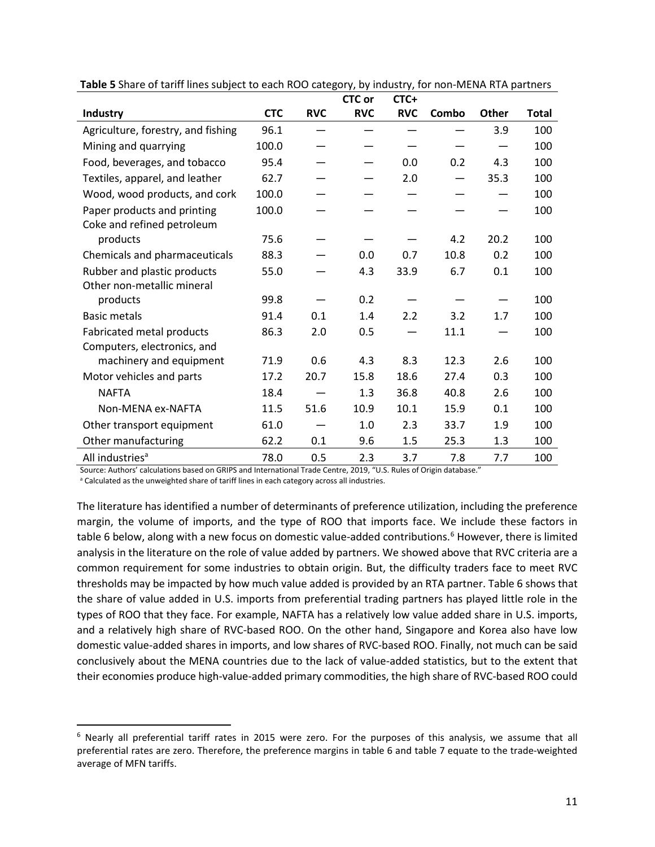|                                    |            |            | <b>CTC or</b> | CTC+       |       |       |       |
|------------------------------------|------------|------------|---------------|------------|-------|-------|-------|
| <b>Industry</b>                    | <b>CTC</b> | <b>RVC</b> | <b>RVC</b>    | <b>RVC</b> | Combo | Other | Total |
| Agriculture, forestry, and fishing | 96.1       |            |               |            |       | 3.9   | 100   |
| Mining and quarrying               | 100.0      |            |               |            |       |       | 100   |
| Food, beverages, and tobacco       | 95.4       |            |               | 0.0        | 0.2   | 4.3   | 100   |
| Textiles, apparel, and leather     | 62.7       |            |               | 2.0        |       | 35.3  | 100   |
| Wood, wood products, and cork      | 100.0      |            |               |            |       |       | 100   |
| Paper products and printing        | 100.0      |            |               |            |       |       | 100   |
| Coke and refined petroleum         |            |            |               |            |       |       |       |
| products                           | 75.6       |            |               |            | 4.2   | 20.2  | 100   |
| Chemicals and pharmaceuticals      | 88.3       |            | 0.0           | 0.7        | 10.8  | 0.2   | 100   |
| Rubber and plastic products        | 55.0       |            | 4.3           | 33.9       | 6.7   | 0.1   | 100   |
| Other non-metallic mineral         |            |            |               |            |       |       |       |
| products                           | 99.8       |            | 0.2           |            |       |       | 100   |
| <b>Basic metals</b>                | 91.4       | 0.1        | 1.4           | 2.2        | 3.2   | 1.7   | 100   |
| Fabricated metal products          | 86.3       | 2.0        | 0.5           |            | 11.1  |       | 100   |
| Computers, electronics, and        |            |            |               |            |       |       |       |
| machinery and equipment            | 71.9       | 0.6        | 4.3           | 8.3        | 12.3  | 2.6   | 100   |
| Motor vehicles and parts           | 17.2       | 20.7       | 15.8          | 18.6       | 27.4  | 0.3   | 100   |
| <b>NAFTA</b>                       | 18.4       |            | 1.3           | 36.8       | 40.8  | 2.6   | 100   |
| Non-MENA ex-NAFTA                  | 11.5       | 51.6       | 10.9          | 10.1       | 15.9  | 0.1   | 100   |
| Other transport equipment          | 61.0       |            | 1.0           | 2.3        | 33.7  | 1.9   | 100   |
| Other manufacturing                | 62.2       | 0.1        | 9.6           | 1.5        | 25.3  | 1.3   | 100   |
| All industries <sup>a</sup>        | 78.0       | 0.5        | 2.3           | 3.7        | 7.8   | 7.7   | 100   |

**Table 5** Share of tariff lines subject to each ROO category, by industry, for non-MENA RTA partners

Source: Authors' calculations based on GRIPS and International Trade Centre, 2019, "U.S. Rules of Origin database."

<sup>a</sup> Calculated as the unweighted share of tariff lines in each category across all industries.

The literature has identified a number of determinants of preference utilization, including the preference margin, the volume of imports, and the type of ROO that imports face. We include these factors in table 6 below, along with a new focus on domestic value-added contributions. [6](#page-10-0) However, there is limited analysis in the literature on the role of value added by partners. We showed above that RVC criteria are a common requirement for some industries to obtain origin. But, the difficulty traders face to meet RVC thresholds may be impacted by how much value added is provided by an RTA partner. Table 6 shows that the share of value added in U.S. imports from preferential trading partners has played little role in the types of ROO that they face. For example, NAFTA has a relatively low value added share in U.S. imports, and a relatively high share of RVC-based ROO. On the other hand, Singapore and Korea also have low domestic value-added shares in imports, and low shares of RVC-based ROO. Finally, not much can be said conclusively about the MENA countries due to the lack of value-added statistics, but to the extent that their economies produce high-value-added primary commodities, the high share of RVC-based ROO could

<span id="page-10-0"></span> $6$  Nearly all preferential tariff rates in 2015 were zero. For the purposes of this analysis, we assume that all preferential rates are zero. Therefore, the preference margins in table 6 and table 7 equate to the trade-weighted average of MFN tariffs.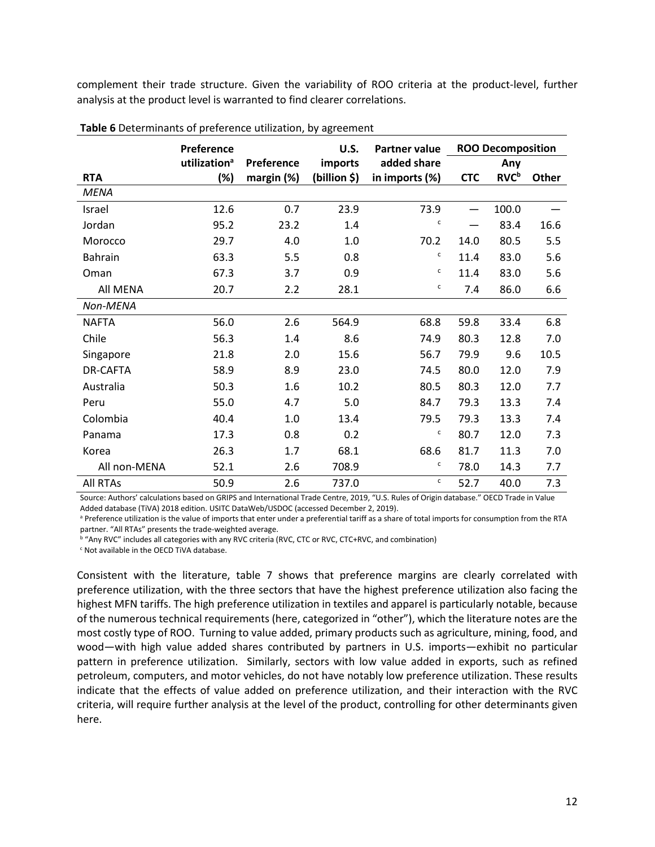complement their trade structure. Given the variability of ROO criteria at the product-level, further analysis at the product level is warranted to find clearer correlations.

|                 | Preference               |            | U.S.         | <b>Partner value</b> |                 | <b>ROO Decomposition</b> |       |
|-----------------|--------------------------|------------|--------------|----------------------|-----------------|--------------------------|-------|
|                 | utilization <sup>a</sup> | Preference | imports      | added share          |                 | Any                      |       |
| <b>RTA</b>      | (%)                      | margin (%) | (billion \$) | in imports (%)       | <b>CTC</b>      | <b>RVC</b> <sup>b</sup>  | Other |
| <b>MENA</b>     |                          |            |              |                      |                 |                          |       |
| Israel          | 12.6                     | 0.7        | 23.9         | 73.9                 | $\qquad \qquad$ | 100.0                    |       |
| Jordan          | 95.2                     | 23.2       | 1.4          | C                    |                 | 83.4                     | 16.6  |
| Morocco         | 29.7                     | 4.0        | 1.0          | 70.2                 | 14.0            | 80.5                     | 5.5   |
| Bahrain         | 63.3                     | 5.5        | 0.8          | c                    | 11.4            | 83.0                     | 5.6   |
| Oman            | 67.3                     | 3.7        | 0.9          | с                    | 11.4            | 83.0                     | 5.6   |
| All MENA        | 20.7                     | 2.2        | 28.1         | с                    | 7.4             | 86.0                     | 6.6   |
| Non-MENA        |                          |            |              |                      |                 |                          |       |
| <b>NAFTA</b>    | 56.0                     | 2.6        | 564.9        | 68.8                 | 59.8            | 33.4                     | 6.8   |
| Chile           | 56.3                     | 1.4        | 8.6          | 74.9                 | 80.3            | 12.8                     | 7.0   |
| Singapore       | 21.8                     | 2.0        | 15.6         | 56.7                 | 79.9            | 9.6                      | 10.5  |
| DR-CAFTA        | 58.9                     | 8.9        | 23.0         | 74.5                 | 80.0            | 12.0                     | 7.9   |
| Australia       | 50.3                     | 1.6        | 10.2         | 80.5                 | 80.3            | 12.0                     | 7.7   |
| Peru            | 55.0                     | 4.7        | 5.0          | 84.7                 | 79.3            | 13.3                     | 7.4   |
| Colombia        | 40.4                     | 1.0        | 13.4         | 79.5                 | 79.3            | 13.3                     | 7.4   |
| Panama          | 17.3                     | 0.8        | 0.2          | C                    | 80.7            | 12.0                     | 7.3   |
| Korea           | 26.3                     | 1.7        | 68.1         | 68.6                 | 81.7            | 11.3                     | 7.0   |
| All non-MENA    | 52.1                     | 2.6        | 708.9        | с                    | 78.0            | 14.3                     | 7.7   |
| <b>All RTAs</b> | 50.9                     | 2.6        | 737.0        | c                    | 52.7            | 40.0                     | 7.3   |

Source: Authors' calculations based on GRIPS and International Trade Centre, 2019, "U.S. Rules of Origin database." OECD Trade in Value

Added database (TiVA) 2018 edition. USITC DataWeb/USDOC (accessed December 2, 2019).

a Preference utilization is the value of imports that enter under a preferential tariff as a share of total imports for consumption from the RTA partner. "All RTAs" presents the trade-weighted average.

<sup>b</sup> "Any RVC" includes all categories with any RVC criteria (RVC, CTC or RVC, CTC+RVC, and combination)

<sup>c</sup> Not available in the OECD TiVA database.

Consistent with the literature, table 7 shows that preference margins are clearly correlated with preference utilization, with the three sectors that have the highest preference utilization also facing the highest MFN tariffs. The high preference utilization in textiles and apparel is particularly notable, because of the numerous technical requirements (here, categorized in "other"), which the literature notes are the most costly type of ROO. Turning to value added, primary products such as agriculture, mining, food, and wood—with high value added shares contributed by partners in U.S. imports—exhibit no particular pattern in preference utilization. Similarly, sectors with low value added in exports, such as refined petroleum, computers, and motor vehicles, do not have notably low preference utilization. These results indicate that the effects of value added on preference utilization, and their interaction with the RVC criteria, will require further analysis at the level of the product, controlling for other determinants given here.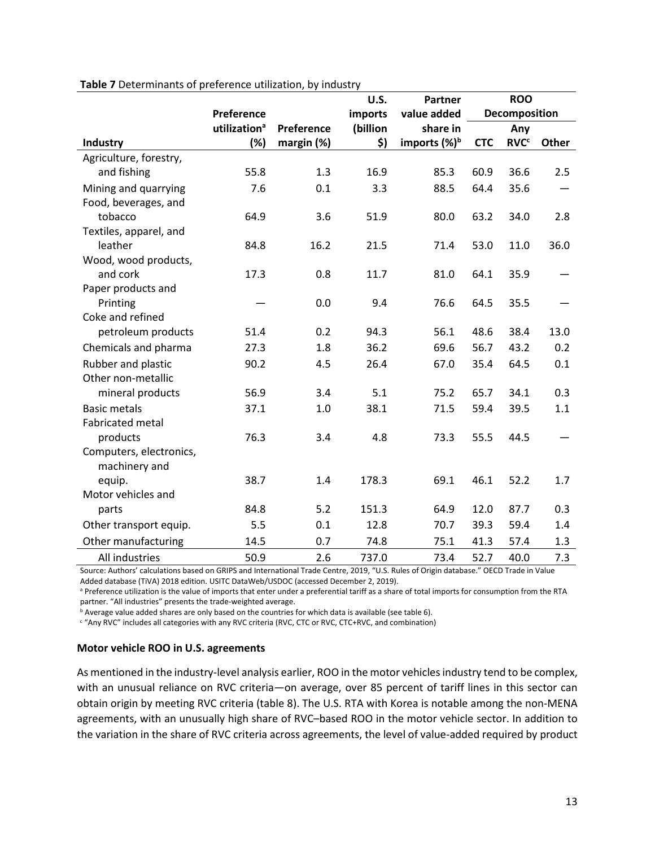|                         |                          |            | U.S.     | <b>Partner</b>           |            | <b>ROO</b>             |       |
|-------------------------|--------------------------|------------|----------|--------------------------|------------|------------------------|-------|
|                         | Preference               |            | imports  | value added              |            | Decomposition          |       |
|                         | utilization <sup>a</sup> | Preference | (billion | share in                 |            | Any                    |       |
| Industry                | (%)                      | margin (%) | \$)      | imports (%) <sup>b</sup> | <b>CTC</b> | <b>RVC<sup>c</sup></b> | Other |
| Agriculture, forestry,  |                          |            |          |                          |            |                        |       |
| and fishing             | 55.8                     | 1.3        | 16.9     | 85.3                     | 60.9       | 36.6                   | 2.5   |
| Mining and quarrying    | 7.6                      | 0.1        | 3.3      | 88.5                     | 64.4       | 35.6                   |       |
| Food, beverages, and    |                          |            |          |                          |            |                        |       |
| tobacco                 | 64.9                     | 3.6        | 51.9     | 80.0                     | 63.2       | 34.0                   | 2.8   |
| Textiles, apparel, and  |                          |            |          |                          |            |                        |       |
| leather                 | 84.8                     | 16.2       | 21.5     | 71.4                     | 53.0       | 11.0                   | 36.0  |
| Wood, wood products,    |                          |            |          |                          |            |                        |       |
| and cork                | 17.3                     | 0.8        | 11.7     | 81.0                     | 64.1       | 35.9                   |       |
| Paper products and      |                          |            |          |                          |            |                        |       |
| Printing                |                          | 0.0        | 9.4      | 76.6                     | 64.5       | 35.5                   |       |
| Coke and refined        |                          |            |          |                          |            |                        |       |
| petroleum products      | 51.4                     | 0.2        | 94.3     | 56.1                     | 48.6       | 38.4                   | 13.0  |
| Chemicals and pharma    | 27.3                     | 1.8        | 36.2     | 69.6                     | 56.7       | 43.2                   | 0.2   |
| Rubber and plastic      | 90.2                     | 4.5        | 26.4     | 67.0                     | 35.4       | 64.5                   | 0.1   |
| Other non-metallic      |                          |            |          |                          |            |                        |       |
| mineral products        | 56.9                     | 3.4        | 5.1      | 75.2                     | 65.7       | 34.1                   | 0.3   |
| <b>Basic metals</b>     | 37.1                     | 1.0        | 38.1     | 71.5                     | 59.4       | 39.5                   | 1.1   |
| <b>Fabricated metal</b> |                          |            |          |                          |            |                        |       |
| products                | 76.3                     | 3.4        | 4.8      | 73.3                     | 55.5       | 44.5                   |       |
| Computers, electronics, |                          |            |          |                          |            |                        |       |
| machinery and           |                          |            |          |                          |            |                        |       |
| equip.                  | 38.7                     | 1.4        | 178.3    | 69.1                     | 46.1       | 52.2                   | 1.7   |
| Motor vehicles and      |                          |            |          |                          |            |                        |       |
| parts                   | 84.8                     | 5.2        | 151.3    | 64.9                     | 12.0       | 87.7                   | 0.3   |
| Other transport equip.  | 5.5                      | 0.1        | 12.8     | 70.7                     | 39.3       | 59.4                   | 1.4   |
| Other manufacturing     | 14.5                     | 0.7        | 74.8     | 75.1                     | 41.3       | 57.4                   | 1.3   |
| All industries          | 50.9                     | 2.6        | 737.0    | 73.4                     | 52.7       | 40.0                   | 7.3   |

**Table 7** Determinants of preference utilization, by industry

Source: Authors' calculations based on GRIPS and International Trade Centre, 2019, "U.S. Rules of Origin database." OECD Trade in Value Added database (TiVA) 2018 edition. USITC DataWeb/USDOC (accessed December 2, 2019).

a Preference utilization is the value of imports that enter under a preferential tariff as a share of total imports for consumption from the RTA partner. "All industries" presents the trade-weighted average.

<sup>b</sup> Average value added shares are only based on the countries for which data is available (see table 6).

<sup>c</sup> "Any RVC" includes all categories with any RVC criteria (RVC, CTC or RVC, CTC+RVC, and combination)

#### **Motor vehicle ROO in U.S. agreements**

As mentioned in the industry-level analysis earlier, ROO in the motor vehicles industry tend to be complex, with an unusual reliance on RVC criteria-on average, over 85 percent of tariff lines in this sector can obtain origin by meeting RVC criteria (table 8). The U.S. RTA with Korea is notable among the non-MENA agreements, with an unusually high share of RVC–based ROO in the motor vehicle sector. In addition to the variation in the share of RVC criteria across agreements, the level of value-added required by product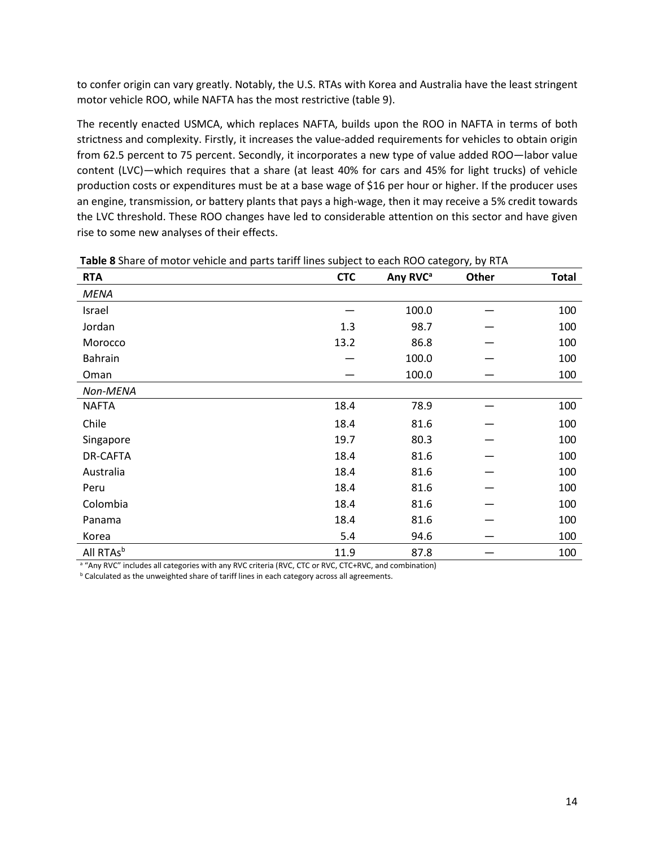to confer origin can vary greatly. Notably, the U.S. RTAs with Korea and Australia have the least stringent motor vehicle ROO, while NAFTA has the most restrictive (table 9).

The recently enacted USMCA, which replaces NAFTA, builds upon the ROO in NAFTA in terms of both strictness and complexity. Firstly, it increases the value-added requirements for vehicles to obtain origin from 62.5 percent to 75 percent. Secondly, it incorporates a new type of value added ROO—labor value content (LVC)—which requires that a share (at least 40% for cars and 45% for light trucks) of vehicle production costs or expenditures must be at a base wage of \$16 per hour or higher. If the producer uses an engine, transmission, or battery plants that pays a high-wage, then it may receive a 5% credit towards the LVC threshold. These ROO changes have led to considerable attention on this sector and have given rise to some new analyses of their effects.

| <b>RTA</b>            | <b>CTC</b> | Any RVC <sup>a</sup> | Other | <b>Total</b> |
|-----------------------|------------|----------------------|-------|--------------|
| <b>MENA</b>           |            |                      |       |              |
| Israel                |            | 100.0                |       | 100          |
| Jordan                | 1.3        | 98.7                 |       | 100          |
| Morocco               | 13.2       | 86.8                 |       | 100          |
| <b>Bahrain</b>        |            | 100.0                |       | 100          |
| Oman                  |            | 100.0                |       | 100          |
| Non-MENA              |            |                      |       |              |
| <b>NAFTA</b>          | 18.4       | 78.9                 |       | 100          |
| Chile                 | 18.4       | 81.6                 |       | 100          |
| Singapore             | 19.7       | 80.3                 |       | 100          |
| DR-CAFTA              | 18.4       | 81.6                 |       | 100          |
| Australia             | 18.4       | 81.6                 |       | 100          |
| Peru                  | 18.4       | 81.6                 |       | 100          |
| Colombia              | 18.4       | 81.6                 |       | 100          |
| Panama                | 18.4       | 81.6                 |       | 100          |
| Korea                 | 5.4        | 94.6                 |       | 100          |
| All RTAs <sup>b</sup> | 11.9       | 87.8                 |       | 100          |

**Table 8** Share of motor vehicle and parts tariff lines subject to each ROO category, by RTA

a "Any RVC" includes all categories with any RVC criteria (RVC, CTC or RVC, CTC+RVC, and combination)

**b** Calculated as the unweighted share of tariff lines in each category across all agreements.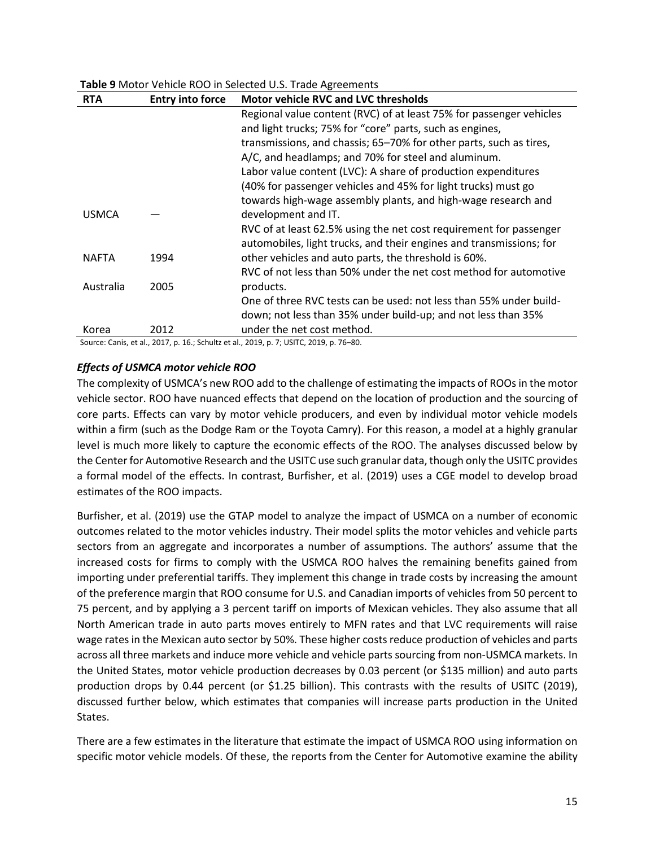## **Table 9** Motor Vehicle ROO in Selected U.S. Trade Agreements

| <b>RTA</b>   | <b>Entry into force</b> | <b>Motor vehicle RVC and LVC thresholds</b>                         |
|--------------|-------------------------|---------------------------------------------------------------------|
|              |                         | Regional value content (RVC) of at least 75% for passenger vehicles |
|              |                         | and light trucks; 75% for "core" parts, such as engines,            |
|              |                         | transmissions, and chassis; 65-70% for other parts, such as tires,  |
|              |                         | A/C, and headlamps; and 70% for steel and aluminum.                 |
|              |                         | Labor value content (LVC): A share of production expenditures       |
|              |                         | (40% for passenger vehicles and 45% for light trucks) must go       |
|              |                         | towards high-wage assembly plants, and high-wage research and       |
| <b>USMCA</b> |                         | development and IT.                                                 |
|              |                         | RVC of at least 62.5% using the net cost requirement for passenger  |
|              |                         | automobiles, light trucks, and their engines and transmissions; for |
| <b>NAFTA</b> | 1994                    | other vehicles and auto parts, the threshold is 60%.                |
|              |                         | RVC of not less than 50% under the net cost method for automotive   |
| Australia    | 2005                    | products.                                                           |
|              |                         | One of three RVC tests can be used: not less than 55% under build-  |
|              |                         | down; not less than 35% under build-up; and not less than 35%       |
| Korea        | 2012                    | under the net cost method.                                          |

Source: Canis, et al., 2017, p. 16.; Schultz et al., 2019, p. 7; USITC, 2019, p. 76–80.

## *Effects of USMCA motor vehicle ROO*

The complexity of USMCA's new ROO add to the challenge of estimating the impacts of ROOs in the motor vehicle sector. ROO have nuanced effects that depend on the location of production and the sourcing of core parts. Effects can vary by motor vehicle producers, and even by individual motor vehicle models within a firm (such as the Dodge Ram or the Toyota Camry). For this reason, a model at a highly granular level is much more likely to capture the economic effects of the ROO. The analyses discussed below by the Center for Automotive Research and the USITC use such granular data, though only the USITC provides a formal model of the effects. In contrast, Burfisher, et al. (2019) uses a CGE model to develop broad estimates of the ROO impacts.

Burfisher, et al. (2019) use the GTAP model to analyze the impact of USMCA on a number of economic outcomes related to the motor vehicles industry. Their model splits the motor vehicles and vehicle parts sectors from an aggregate and incorporates a number of assumptions. The authors' assume that the increased costs for firms to comply with the USMCA ROO halves the remaining benefits gained from importing under preferential tariffs. They implement this change in trade costs by increasing the amount of the preference margin that ROO consume for U.S. and Canadian imports of vehicles from 50 percent to 75 percent, and by applying a 3 percent tariff on imports of Mexican vehicles. They also assume that all North American trade in auto parts moves entirely to MFN rates and that LVC requirements will raise wage rates in the Mexican auto sector by 50%. These higher costs reduce production of vehicles and parts across all three markets and induce more vehicle and vehicle parts sourcing from non-USMCA markets. In the United States, motor vehicle production decreases by 0.03 percent (or \$135 million) and auto parts production drops by 0.44 percent (or \$1.25 billion). This contrasts with the results of USITC (2019), discussed further below, which estimates that companies will increase parts production in the United States.

There are a few estimates in the literature that estimate the impact of USMCA ROO using information on specific motor vehicle models. Of these, the reports from the Center for Automotive examine the ability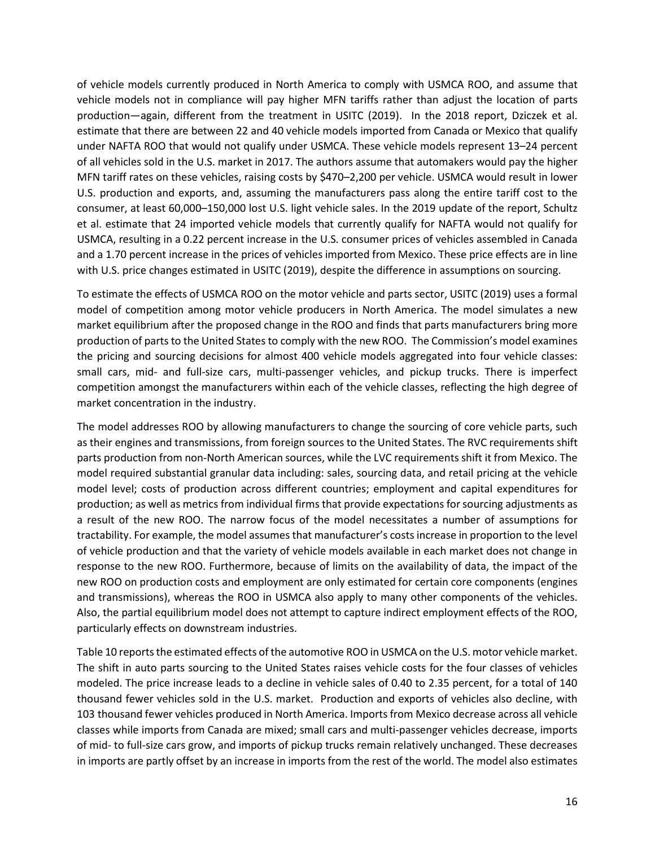of vehicle models currently produced in North America to comply with USMCA ROO, and assume that vehicle models not in compliance will pay higher MFN tariffs rather than adjust the location of parts production—again, different from the treatment in USITC (2019). In the 2018 report, Dziczek et al. estimate that there are between 22 and 40 vehicle models imported from Canada or Mexico that qualify under NAFTA ROO that would not qualify under USMCA. These vehicle models represent 13–24 percent of all vehicles sold in the U.S. market in 2017. The authors assume that automakers would pay the higher MFN tariff rates on these vehicles, raising costs by \$470–2,200 per vehicle. USMCA would result in lower U.S. production and exports, and, assuming the manufacturers pass along the entire tariff cost to the consumer, at least 60,000–150,000 lost U.S. light vehicle sales. In the 2019 update of the report, Schultz et al. estimate that 24 imported vehicle models that currently qualify for NAFTA would not qualify for USMCA, resulting in a 0.22 percent increase in the U.S. consumer prices of vehicles assembled in Canada and a 1.70 percent increase in the prices of vehicles imported from Mexico. These price effects are in line with U.S. price changes estimated in USITC (2019), despite the difference in assumptions on sourcing.

To estimate the effects of USMCA ROO on the motor vehicle and parts sector, USITC (2019) uses a formal model of competition among motor vehicle producers in North America. The model simulates a new market equilibrium after the proposed change in the ROO and finds that parts manufacturers bring more production of parts to the United Statesto comply with the new ROO. The Commission's model examines the pricing and sourcing decisions for almost 400 vehicle models aggregated into four vehicle classes: small cars, mid- and full-size cars, multi-passenger vehicles, and pickup trucks. There is imperfect competition amongst the manufacturers within each of the vehicle classes, reflecting the high degree of market concentration in the industry.

The model addresses ROO by allowing manufacturers to change the sourcing of core vehicle parts, such as their engines and transmissions, from foreign sources to the United States. The RVC requirements shift parts production from non-North American sources, while the LVC requirements shift it from Mexico. The model required substantial granular data including: sales, sourcing data, and retail pricing at the vehicle model level; costs of production across different countries; employment and capital expenditures for production; as well as metrics from individual firms that provide expectations for sourcing adjustments as a result of the new ROO. The narrow focus of the model necessitates a number of assumptions for tractability. For example, the model assumes that manufacturer's costs increase in proportion to the level of vehicle production and that the variety of vehicle models available in each market does not change in response to the new ROO. Furthermore, because of limits on the availability of data, the impact of the new ROO on production costs and employment are only estimated for certain core components (engines and transmissions), whereas the ROO in USMCA also apply to many other components of the vehicles. Also, the partial equilibrium model does not attempt to capture indirect employment effects of the ROO, particularly effects on downstream industries.

Table 10 reports the estimated effects of the automotive ROO in USMCA on the U.S. motor vehicle market. The shift in auto parts sourcing to the United States raises vehicle costs for the four classes of vehicles modeled. The price increase leads to a decline in vehicle sales of 0.40 to 2.35 percent, for a total of 140 thousand fewer vehicles sold in the U.S. market. Production and exports of vehicles also decline, with 103 thousand fewer vehicles produced in North America. Imports from Mexico decrease across all vehicle classes while imports from Canada are mixed; small cars and multi-passenger vehicles decrease, imports of mid- to full-size cars grow, and imports of pickup trucks remain relatively unchanged. These decreases in imports are partly offset by an increase in imports from the rest of the world. The model also estimates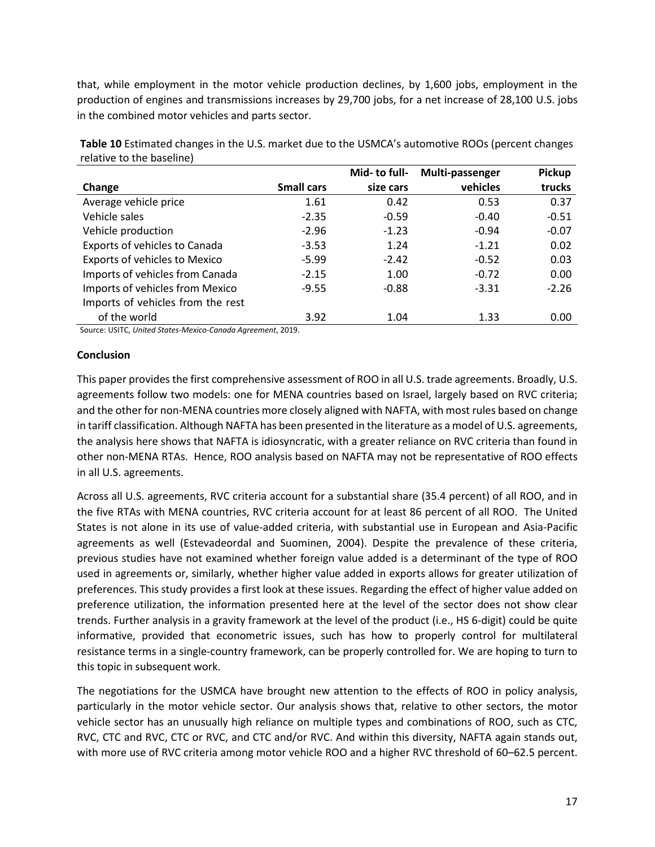that, while employment in the motor vehicle production declines, by 1,600 jobs, employment in the production of engines and transmissions increases by 29,700 jobs, for a net increase of 28,100 U.S. jobs in the combined motor vehicles and parts sector.

|                                   |                   | Mid- to full- | Multi-passenger | <b>Pickup</b> |
|-----------------------------------|-------------------|---------------|-----------------|---------------|
| Change                            | <b>Small cars</b> | size cars     | vehicles        | trucks        |
| Average vehicle price             | 1.61              | 0.42          | 0.53            | 0.37          |
| Vehicle sales                     | $-2.35$           | $-0.59$       | $-0.40$         | $-0.51$       |
| Vehicle production                | $-2.96$           | $-1.23$       | $-0.94$         | $-0.07$       |
| Exports of vehicles to Canada     | $-3.53$           | 1.24          | $-1.21$         | 0.02          |
| Exports of vehicles to Mexico     | $-5.99$           | $-2.42$       | $-0.52$         | 0.03          |
| Imports of vehicles from Canada   | $-2.15$           | 1.00          | $-0.72$         | 0.00          |
| Imports of vehicles from Mexico   | $-9.55$           | $-0.88$       | $-3.31$         | $-2.26$       |
| Imports of vehicles from the rest |                   |               |                 |               |
| of the world                      | 3.92              | 1.04          | 1.33            | 0.00          |

**Table 10** Estimated changes in the U.S. market due to the USMCA's automotive ROOs (percent changes relative to the baseline)

Source: USITC, *United States-Mexico-Canada Agreement*, 2019.

## **Conclusion**

This paper provides the first comprehensive assessment of ROO in all U.S. trade agreements. Broadly, U.S. agreements follow two models: one for MENA countries based on Israel, largely based on RVC criteria; and the other for non-MENA countries more closely aligned with NAFTA, with most rules based on change in tariff classification. Although NAFTA has been presented in the literature as a model of U.S. agreements, the analysis here shows that NAFTA is idiosyncratic, with a greater reliance on RVC criteria than found in other non-MENA RTAs. Hence, ROO analysis based on NAFTA may not be representative of ROO effects in all U.S. agreements.

Across all U.S. agreements, RVC criteria account for a substantial share (35.4 percent) of all ROO, and in the five RTAs with MENA countries, RVC criteria account for at least 86 percent of all ROO. The United States is not alone in its use of value-added criteria, with substantial use in European and Asia-Pacific agreements as well (Estevadeordal and Suominen, 2004). Despite the prevalence of these criteria, previous studies have not examined whether foreign value added is a determinant of the type of ROO used in agreements or, similarly, whether higher value added in exports allows for greater utilization of preferences. This study provides a first look at these issues. Regarding the effect of higher value added on preference utilization, the information presented here at the level of the sector does not show clear trends. Further analysis in a gravity framework at the level of the product (i.e., HS 6-digit) could be quite informative, provided that econometric issues, such has how to properly control for multilateral resistance terms in a single-country framework, can be properly controlled for. We are hoping to turn to this topic in subsequent work.

The negotiations for the USMCA have brought new attention to the effects of ROO in policy analysis, particularly in the motor vehicle sector. Our analysis shows that, relative to other sectors, the motor vehicle sector has an unusually high reliance on multiple types and combinations of ROO, such as CTC, RVC, CTC and RVC, CTC or RVC, and CTC and/or RVC. And within this diversity, NAFTA again stands out, with more use of RVC criteria among motor vehicle ROO and a higher RVC threshold of 60–62.5 percent.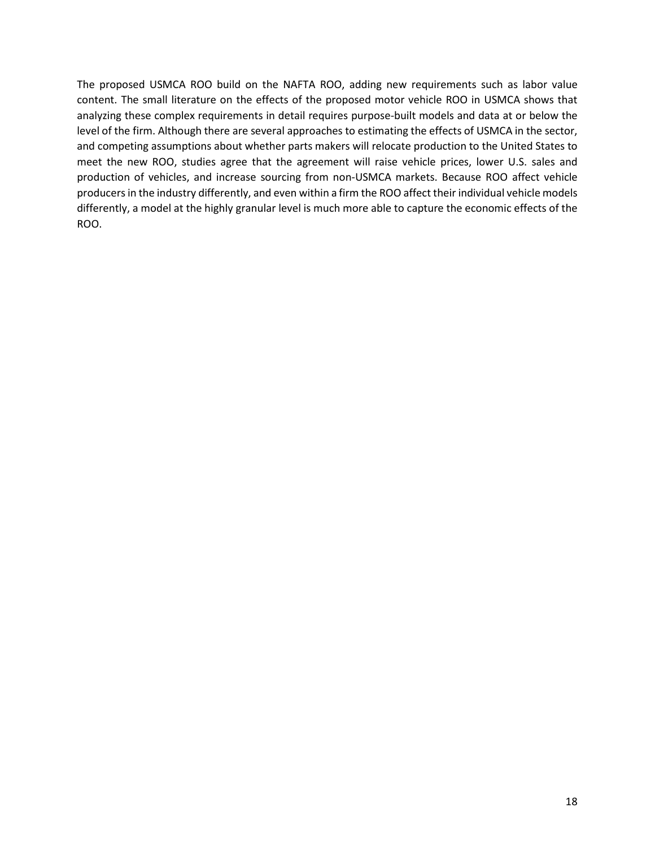The proposed USMCA ROO build on the NAFTA ROO, adding new requirements such as labor value content. The small literature on the effects of the proposed motor vehicle ROO in USMCA shows that analyzing these complex requirements in detail requires purpose-built models and data at or below the level of the firm. Although there are several approaches to estimating the effects of USMCA in the sector, and competing assumptions about whether parts makers will relocate production to the United States to meet the new ROO, studies agree that the agreement will raise vehicle prices, lower U.S. sales and production of vehicles, and increase sourcing from non-USMCA markets. Because ROO affect vehicle producers in the industry differently, and even within a firm the ROO affect their individual vehicle models differently, a model at the highly granular level is much more able to capture the economic effects of the ROO.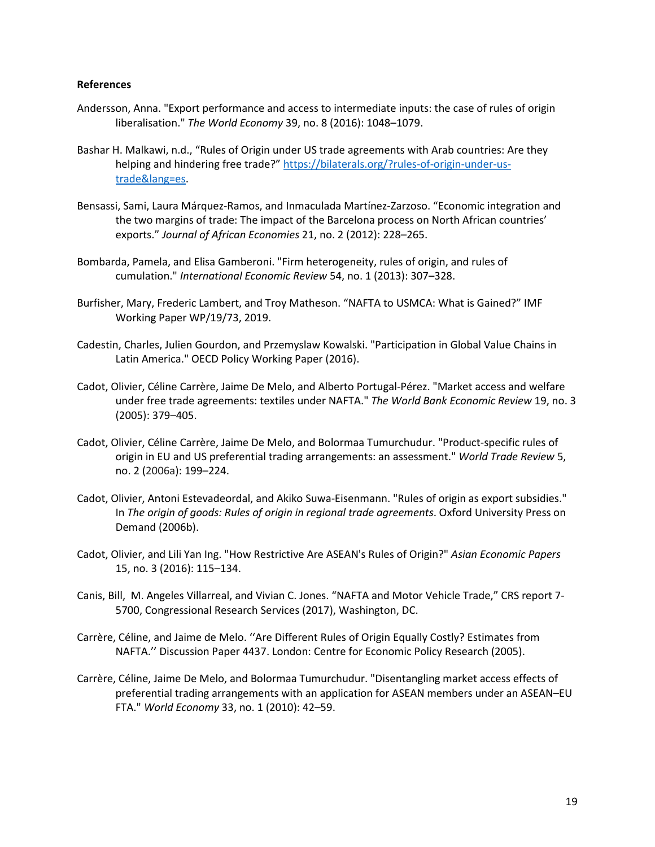#### **References**

- Andersson, Anna. "Export performance and access to intermediate inputs: the case of rules of origin liberalisation." *The World Economy* 39, no. 8 (2016): 1048–1079.
- Bashar H. Malkawi, n.d., "Rules of Origin under US trade agreements with Arab countries: Are they helping and hindering free trade?" [https://bilaterals.org/?rules-of-origin-under-us](https://bilaterals.org/?rules-of-origin-under-us-trade&lang=es)[trade&lang=es.](https://bilaterals.org/?rules-of-origin-under-us-trade&lang=es)
- Bensassi, Sami, Laura Márquez-Ramos, and Inmaculada Martínez-Zarzoso. "Economic integration and the two margins of trade: The impact of the Barcelona process on North African countries' exports." *Journal of African Economies* 21, no. 2 (2012): 228–265.
- Bombarda, Pamela, and Elisa Gamberoni. "Firm heterogeneity, rules of origin, and rules of cumulation." *International Economic Review* 54, no. 1 (2013): 307–328.
- Burfisher, Mary, Frederic Lambert, and Troy Matheson. "NAFTA to USMCA: What is Gained?" IMF Working Paper WP/19/73, 2019.
- Cadestin, Charles, Julien Gourdon, and Przemyslaw Kowalski. "Participation in Global Value Chains in Latin America." OECD Policy Working Paper (2016).
- Cadot, Olivier, Céline Carrère, Jaime De Melo, and Alberto Portugal-Pérez. "Market access and welfare under free trade agreements: textiles under NAFTA." *The World Bank Economic Review* 19, no. 3 (2005): 379–405.
- Cadot, Olivier, Céline Carrère, Jaime De Melo, and Bolormaa Tumurchudur. "Product-specific rules of origin in EU and US preferential trading arrangements: an assessment." *World Trade Review* 5, no. 2 (2006a): 199–224.
- Cadot, Olivier, Antoni Estevadeordal, and Akiko Suwa-Eisenmann. "Rules of origin as export subsidies." In *The origin of goods: Rules of origin in regional trade agreements*. Oxford University Press on Demand (2006b).
- Cadot, Olivier, and Lili Yan Ing. "How Restrictive Are ASEAN's Rules of Origin?" *Asian Economic Papers* 15, no. 3 (2016): 115–134.
- Canis, Bill, M. Angeles Villarreal, and Vivian C. Jones. "NAFTA and Motor Vehicle Trade," CRS report 7- 5700, Congressional Research Services (2017), Washington, DC.
- Carrère, Céline, and Jaime de Melo. ''Are Different Rules of Origin Equally Costly? Estimates from NAFTA.'' Discussion Paper 4437. London: Centre for Economic Policy Research (2005).
- Carrère, Céline, Jaime De Melo, and Bolormaa Tumurchudur. "Disentangling market access effects of preferential trading arrangements with an application for ASEAN members under an ASEAN–EU FTA." *World Economy* 33, no. 1 (2010): 42–59.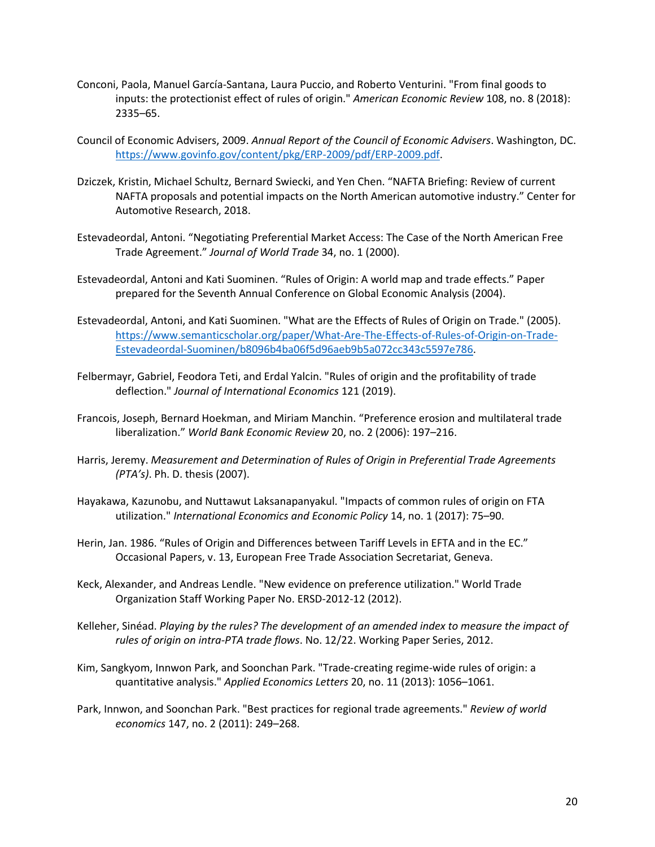- Conconi, Paola, Manuel García-Santana, Laura Puccio, and Roberto Venturini. "From final goods to inputs: the protectionist effect of rules of origin." *American Economic Review* 108, no. 8 (2018): 2335–65.
- Council of Economic Advisers, 2009. *Annual Report of the Council of Economic Advisers*. Washington, DC. [https://www.govinfo.gov/content/pkg/ERP-2009/pdf/ERP-2009.pdf.](https://www.govinfo.gov/content/pkg/ERP-2009/pdf/ERP-2009.pdf)
- Dziczek, Kristin, Michael Schultz, Bernard Swiecki, and Yen Chen. "NAFTA Briefing: Review of current NAFTA proposals and potential impacts on the North American automotive industry." Center for Automotive Research, 2018.
- Estevadeordal, Antoni. "Negotiating Preferential Market Access: The Case of the North American Free Trade Agreement." *Journal of World Trade* 34, no. 1 (2000).
- Estevadeordal, Antoni and Kati Suominen. "Rules of Origin: A world map and trade effects." Paper prepared for the Seventh Annual Conference on Global Economic Analysis (2004).
- Estevadeordal, Antoni, and Kati Suominen. "What are the Effects of Rules of Origin on Trade." (2005). [https://www.semanticscholar.org/paper/What-Are-The-Effects-of-Rules-of-Origin-on-Trade-](https://www.semanticscholar.org/paper/What-Are-The-Effects-of-Rules-of-Origin-on-Trade-Estevadeordal-Suominen/b8096b4ba06f5d96aeb9b5a072cc343c5597e786)[Estevadeordal-Suominen/b8096b4ba06f5d96aeb9b5a072cc343c5597e786.](https://www.semanticscholar.org/paper/What-Are-The-Effects-of-Rules-of-Origin-on-Trade-Estevadeordal-Suominen/b8096b4ba06f5d96aeb9b5a072cc343c5597e786)
- Felbermayr, Gabriel, Feodora Teti, and Erdal Yalcin. "Rules of origin and the profitability of trade deflection." *Journal of International Economics* 121 (2019).
- Francois, Joseph, Bernard Hoekman, and Miriam Manchin. "Preference erosion and multilateral trade liberalization." *World Bank Economic Review* 20, no. 2 (2006): 197–216.
- Harris, Jeremy. *Measurement and Determination of Rules of Origin in Preferential Trade Agreements (PTA's)*. Ph. D. thesis (2007).
- Hayakawa, Kazunobu, and Nuttawut Laksanapanyakul. "Impacts of common rules of origin on FTA utilization." *International Economics and Economic Policy* 14, no. 1 (2017): 75–90.
- Herin, Jan. 1986. "Rules of Origin and Differences between Tariff Levels in EFTA and in the EC." Occasional Papers, v. 13, European Free Trade Association Secretariat, Geneva.
- Keck, Alexander, and Andreas Lendle. "New evidence on preference utilization." World Trade Organization Staff Working Paper No. ERSD-2012-12 (2012).
- Kelleher, Sinéad. *Playing by the rules? The development of an amended index to measure the impact of rules of origin on intra-PTA trade flows*. No. 12/22. Working Paper Series, 2012.
- Kim, Sangkyom, Innwon Park, and Soonchan Park. "Trade-creating regime-wide rules of origin: a quantitative analysis." *Applied Economics Letters* 20, no. 11 (2013): 1056–1061.
- Park, Innwon, and Soonchan Park. "Best practices for regional trade agreements." *Review of world economics* 147, no. 2 (2011): 249–268.